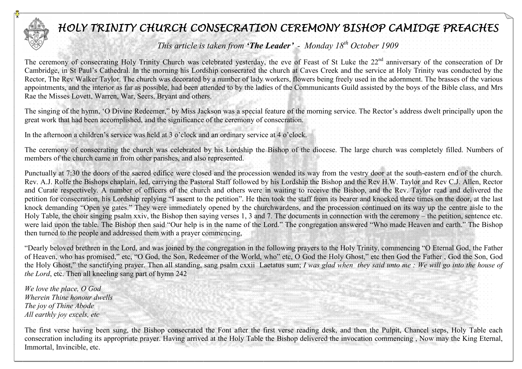

## HOLY TRINITY CHURCH CONSECRATION CEREMONY BISHOP CAMIDGE PREACHES

This article is taken from **'The Leader'** - Monday  $18<sup>th</sup>$  October 1909

The ceremony of consecrating Holy Trinity Church was celebrated yesterday, the eve of Feast of St Luke the 22<sup>nd</sup> anniversary of the consecration of Dr Cambridge, in St Paul's Cathedral. In the morning his Lordship consecrated the church at Caves Creek and the service at Holy Trinity was conducted by the Rector, The Rev Walker Taylor. The church was decorated by a number of lady workers, flowers being freely used in the adornment. The brasses of the various appointments, and the interior as far as possible, had been attended to by the ladies of the Communicants Guild assisted by the boys of the Bible class, and Mrs Rae the Misses Lovett, Warren, War, Seers, Bryant and others.

The singing of the hymn, 'O Divine Redeemer," by Miss Jackson was a special feature of the morning service. The Rector's address dwelt principally upon the great work that had been accomplished, and the significance of the ceremony of consecration.

In the afternoon a children's service was held at 3 o'clock and an ordinary service at 4 o'clock.

The ceremony of consecrating the church was celebrated by his Lordship the Bishop of the diocese. The large church was completely filled. Numbers of members of the church came in from other parishes, and also represented.

Punctually at 7:30 the doors of the sacred edifice were closed and the procession wended its way from the vestry door at the south-eastern end of the church. Rev. A.J. Rolfe the Bishops chaplain, led, carrying the Pastoral Staff followed by his Lordship the Bishop and the Rev H.W. Taylor and Rev C.J. Allen, Rector and Curate respectively. A number of officers of the church and others were in waiting to receive the Bishop, and the Rev. Taylor read and delivered the petition for consecration, his Lordship replying "I assent to the petition". He then took the staff from its bearer and knocked three times on the door, at the last knock demanding "Open ye gates." They were immediately opened by the churchwardens, and the procession continued on its way up the centre aisle to the Holy Table, the choir singing psalm xxiv, the Bishop then saying verses 1, 3 and 7. The documents in connection with the ceremony – the petition, sentence etc. were laid upon the table. The Bishop then said "Our help is in the name of the Lord." The congregation answered "Who made Heaven and earth." The Bishop then turned to the people and addressed them with a prayer commencing,

"Dearly beloved brethren in the Lord, and was joined by the congregation in the following prayers to the Holy Trinity, commencing "O Eternal God, the Father of Heaven, who has promised," etc, "O God, the Son, Redeemer of the World, who" etc, O God the Holy Ghost," etc then God the Father , God the Son, God the Holy Ghost," the sanctifying prayer. Then all standing, sang psalm cxxii Laetatus sum; I was glad when they said unto me: We will go into the house of the Lord, etc. Then all kneeling sang part of hymn 242

We love the place, O God Wherein Thine honour dwells The joy of Thine Abode All earthly joy excels, etc

The first verse having been sung, the Bishop consecrated the Font after the first verse reading desk, and then the Pulpit, Chancel steps, Holy Table each consecration including its appropriate prayer. Having arrived at the Holy Table the Bishop delivered the invocation commencing , Now may the King Eternal, Immortal, Invincible, etc.